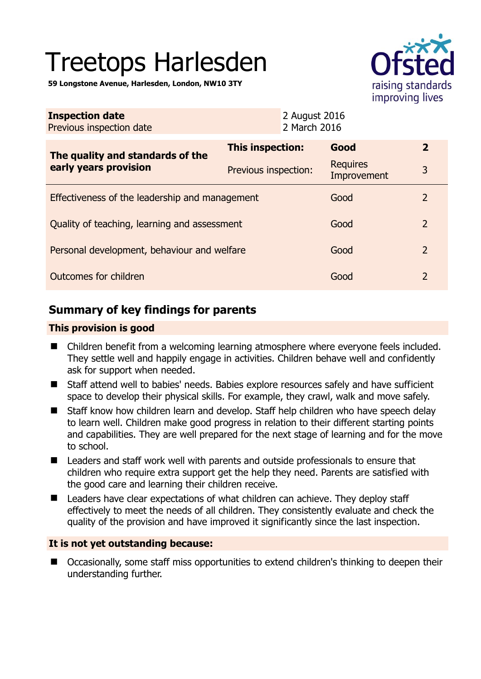# Treetops Harlesden

**59 Longstone Avenue, Harlesden, London, NW10 3TY** 



| <b>Inspection date</b><br>Previous inspection date        | 2 August 2016<br>2 March 2016 |                                |                |
|-----------------------------------------------------------|-------------------------------|--------------------------------|----------------|
| The quality and standards of the<br>early years provision | This inspection:              | Good                           | $\mathbf{2}$   |
|                                                           | Previous inspection:          | <b>Requires</b><br>Improvement | 3              |
| Effectiveness of the leadership and management            |                               | Good                           | 2              |
| Quality of teaching, learning and assessment              |                               | Good                           | 2              |
| Personal development, behaviour and welfare               |                               | Good                           | $\overline{2}$ |
| Outcomes for children                                     |                               | Good                           | $\overline{2}$ |

# **Summary of key findings for parents**

## **This provision is good**

- Children benefit from a welcoming learning atmosphere where everyone feels included. They settle well and happily engage in activities. Children behave well and confidently ask for support when needed.
- Staff attend well to babies' needs. Babies explore resources safely and have sufficient space to develop their physical skills. For example, they crawl, walk and move safely.
- Staff know how children learn and develop. Staff help children who have speech delay to learn well. Children make good progress in relation to their different starting points and capabilities. They are well prepared for the next stage of learning and for the move to school.
- Leaders and staff work well with parents and outside professionals to ensure that children who require extra support get the help they need. Parents are satisfied with the good care and learning their children receive.
- Leaders have clear expectations of what children can achieve. They deploy staff effectively to meet the needs of all children. They consistently evaluate and check the quality of the provision and have improved it significantly since the last inspection.

## **It is not yet outstanding because:**

■ Occasionally, some staff miss opportunities to extend children's thinking to deepen their understanding further.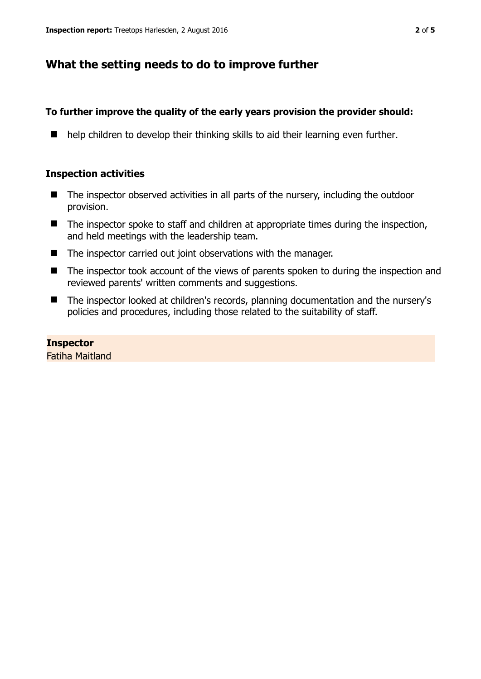# **What the setting needs to do to improve further**

# **To further improve the quality of the early years provision the provider should:**

 $\blacksquare$  help children to develop their thinking skills to aid their learning even further.

## **Inspection activities**

- The inspector observed activities in all parts of the nursery, including the outdoor provision.
- $\blacksquare$  The inspector spoke to staff and children at appropriate times during the inspection, and held meetings with the leadership team.
- The inspector carried out joint observations with the manager.
- The inspector took account of the views of parents spoken to during the inspection and reviewed parents' written comments and suggestions.
- The inspector looked at children's records, planning documentation and the nursery's policies and procedures, including those related to the suitability of staff.

# **Inspector**

Fatiha Maitland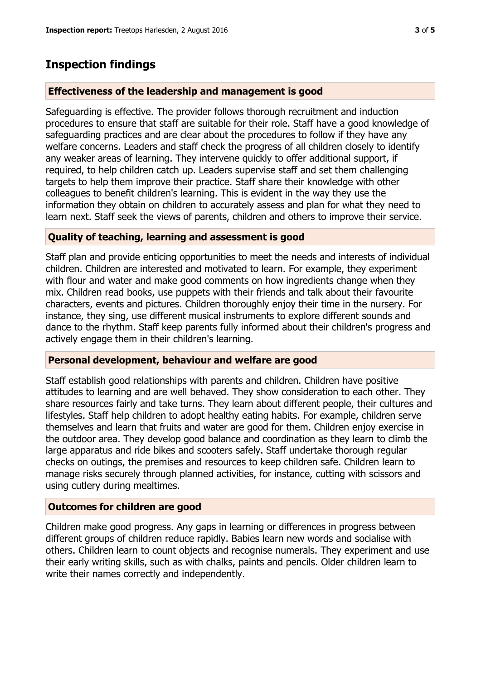# **Inspection findings**

#### **Effectiveness of the leadership and management is good**

Safeguarding is effective. The provider follows thorough recruitment and induction procedures to ensure that staff are suitable for their role. Staff have a good knowledge of safeguarding practices and are clear about the procedures to follow if they have any welfare concerns. Leaders and staff check the progress of all children closely to identify any weaker areas of learning. They intervene quickly to offer additional support, if required, to help children catch up. Leaders supervise staff and set them challenging targets to help them improve their practice. Staff share their knowledge with other colleagues to benefit children's learning. This is evident in the way they use the information they obtain on children to accurately assess and plan for what they need to learn next. Staff seek the views of parents, children and others to improve their service.

#### **Quality of teaching, learning and assessment is good**

Staff plan and provide enticing opportunities to meet the needs and interests of individual children. Children are interested and motivated to learn. For example, they experiment with flour and water and make good comments on how ingredients change when they mix. Children read books, use puppets with their friends and talk about their favourite characters, events and pictures. Children thoroughly enjoy their time in the nursery. For instance, they sing, use different musical instruments to explore different sounds and dance to the rhythm. Staff keep parents fully informed about their children's progress and actively engage them in their children's learning.

#### **Personal development, behaviour and welfare are good**

Staff establish good relationships with parents and children. Children have positive attitudes to learning and are well behaved. They show consideration to each other. They share resources fairly and take turns. They learn about different people, their cultures and lifestyles. Staff help children to adopt healthy eating habits. For example, children serve themselves and learn that fruits and water are good for them. Children enjoy exercise in the outdoor area. They develop good balance and coordination as they learn to climb the large apparatus and ride bikes and scooters safely. Staff undertake thorough regular checks on outings, the premises and resources to keep children safe. Children learn to manage risks securely through planned activities, for instance, cutting with scissors and using cutlery during mealtimes.

#### **Outcomes for children are good**

Children make good progress. Any gaps in learning or differences in progress between different groups of children reduce rapidly. Babies learn new words and socialise with others. Children learn to count objects and recognise numerals. They experiment and use their early writing skills, such as with chalks, paints and pencils. Older children learn to write their names correctly and independently.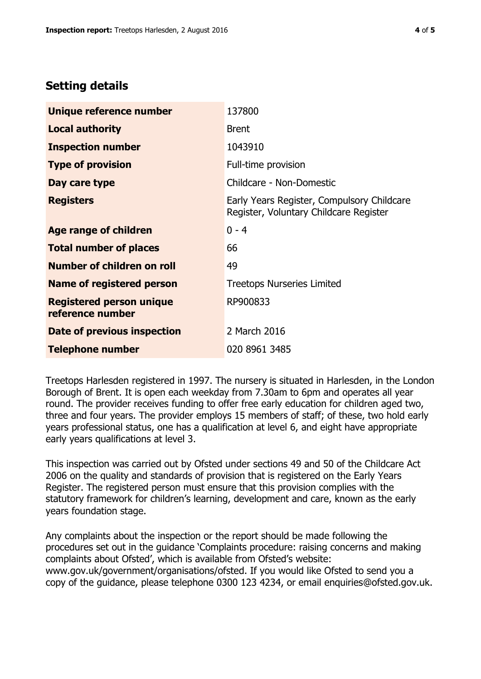# **Setting details**

| Unique reference number                             | 137800                                                                               |
|-----------------------------------------------------|--------------------------------------------------------------------------------------|
| <b>Local authority</b>                              | <b>Brent</b>                                                                         |
| <b>Inspection number</b>                            | 1043910                                                                              |
| <b>Type of provision</b>                            | Full-time provision                                                                  |
| Day care type                                       | Childcare - Non-Domestic                                                             |
| <b>Registers</b>                                    | Early Years Register, Compulsory Childcare<br>Register, Voluntary Childcare Register |
| Age range of children                               | $0 - 4$                                                                              |
| <b>Total number of places</b>                       | 66                                                                                   |
| Number of children on roll                          | 49                                                                                   |
| Name of registered person                           | <b>Treetops Nurseries Limited</b>                                                    |
| <b>Registered person unique</b><br>reference number | RP900833                                                                             |
| <b>Date of previous inspection</b>                  | 2 March 2016                                                                         |
| <b>Telephone number</b>                             | 020 8961 3485                                                                        |

Treetops Harlesden registered in 1997. The nursery is situated in Harlesden, in the London Borough of Brent. It is open each weekday from 7.30am to 6pm and operates all year round. The provider receives funding to offer free early education for children aged two, three and four years. The provider employs 15 members of staff; of these, two hold early years professional status, one has a qualification at level 6, and eight have appropriate early years qualifications at level 3.

This inspection was carried out by Ofsted under sections 49 and 50 of the Childcare Act 2006 on the quality and standards of provision that is registered on the Early Years Register. The registered person must ensure that this provision complies with the statutory framework for children's learning, development and care, known as the early years foundation stage.

Any complaints about the inspection or the report should be made following the procedures set out in the guidance 'Complaints procedure: raising concerns and making complaints about Ofsted', which is available from Ofsted's website: www.gov.uk/government/organisations/ofsted. If you would like Ofsted to send you a copy of the guidance, please telephone 0300 123 4234, or email enquiries@ofsted.gov.uk.